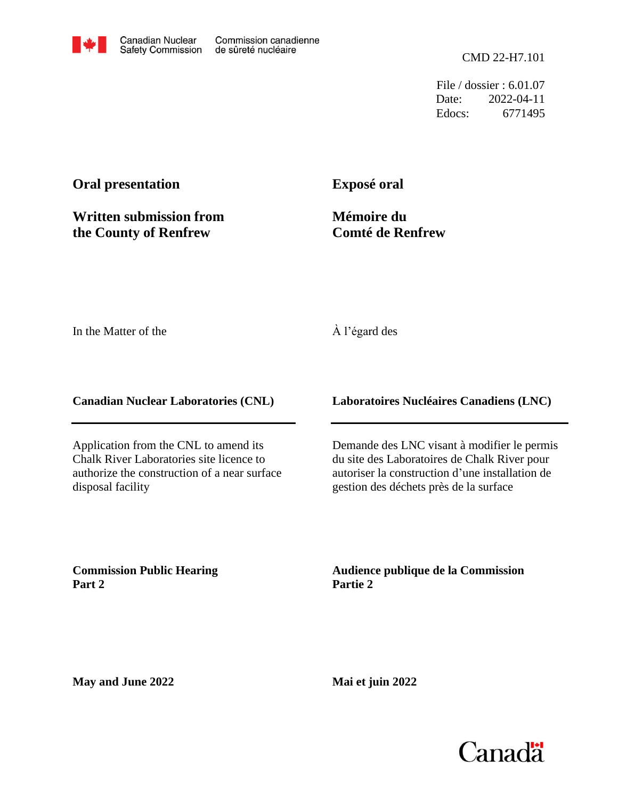

File / dossier : 6.01.07 Date: 2022-04-11 Edocs: 6771495

# **Oral presentation**

**Written submission from the County of Renfrew**

**Exposé oral**

**Mémoire du Comté de Renfrew**

In the Matter of the

## À l'égard des

**Canadian Nuclear Laboratories (CNL)**

Application from the CNL to amend its Chalk River Laboratories site licence to authorize the construction of a near surface disposal facility

**Laboratoires Nucléaires Canadiens (LNC)**

Demande des LNC visant à modifier le permis du site des Laboratoires de Chalk River pour autoriser la construction d'une installation de gestion des déchets près de la surface

**Commission Public Hearing Part 2**

**Audience publique de la Commission Partie 2**

**May and June 2022**

**Mai et juin 2022**

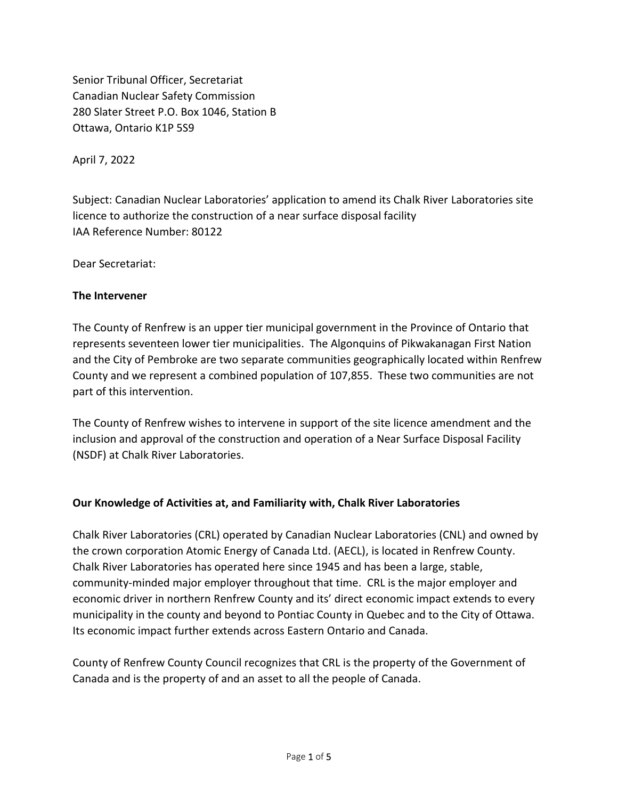Senior Tribunal Officer, Secretariat Canadian Nuclear Safety Commission 280 Slater Street P.O. Box 1046, Station B Ottawa, Ontario K1P 5S9

April 7, 2022

Subject: Canadian Nuclear Laboratories' application to amend its Chalk River Laboratories site licence to authorize the construction of a near surface disposal facility IAA Reference Number: 80122

Dear Secretariat:

#### **The Intervener**

The County of Renfrew is an upper tier municipal government in the Province of Ontario that represents seventeen lower tier municipalities. The Algonquins of Pikwakanagan First Nation and the City of Pembroke are two separate communities geographically located within Renfrew County and we represent a combined population of 107,855. These two communities are not part of this intervention.

The County of Renfrew wishes to intervene in support of the site licence amendment and the inclusion and approval of the construction and operation of a Near Surface Disposal Facility (NSDF) at Chalk River Laboratories.

### **Our Knowledge of Activities at, and Familiarity with, Chalk River Laboratories**

Chalk River Laboratories (CRL) operated by Canadian Nuclear Laboratories (CNL) and owned by the crown corporation Atomic Energy of Canada Ltd. (AECL), is located in Renfrew County. Chalk River Laboratories has operated here since 1945 and has been a large, stable, community-minded major employer throughout that time. CRL is the major employer and economic driver in northern Renfrew County and its' direct economic impact extends to every municipality in the county and beyond to Pontiac County in Quebec and to the City of Ottawa. Its economic impact further extends across Eastern Ontario and Canada.

County of Renfrew County Council recognizes that CRL is the property of the Government of Canada and is the property of and an asset to all the people of Canada.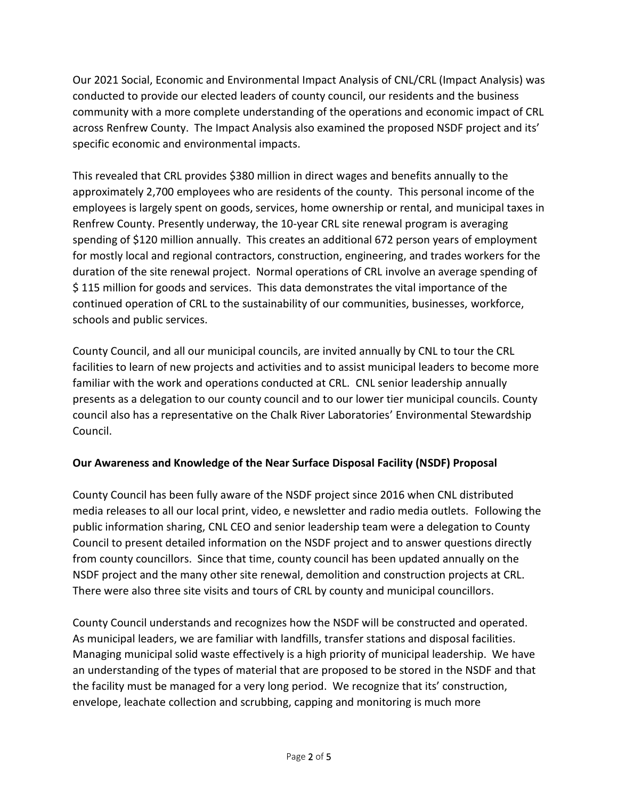Our 2021 Social, Economic and Environmental Impact Analysis of CNL/CRL (Impact Analysis) was conducted to provide our elected leaders of county council, our residents and the business community with a more complete understanding of the operations and economic impact of CRL across Renfrew County. The Impact Analysis also examined the proposed NSDF project and its' specific economic and environmental impacts.

This revealed that CRL provides \$380 million in direct wages and benefits annually to the approximately 2,700 employees who are residents of the county. This personal income of the employees is largely spent on goods, services, home ownership or rental, and municipal taxes in Renfrew County. Presently underway, the 10-year CRL site renewal program is averaging spending of \$120 million annually. This creates an additional 672 person years of employment for mostly local and regional contractors, construction, engineering, and trades workers for the duration of the site renewal project. Normal operations of CRL involve an average spending of \$ 115 million for goods and services. This data demonstrates the vital importance of the continued operation of CRL to the sustainability of our communities, businesses, workforce, schools and public services.

County Council, and all our municipal councils, are invited annually by CNL to tour the CRL facilities to learn of new projects and activities and to assist municipal leaders to become more familiar with the work and operations conducted at CRL. CNL senior leadership annually presents as a delegation to our county council and to our lower tier municipal councils. County council also has a representative on the Chalk River Laboratories' Environmental Stewardship Council.

### **Our Awareness and Knowledge of the Near Surface Disposal Facility (NSDF) Proposal**

County Council has been fully aware of the NSDF project since 2016 when CNL distributed media releases to all our local print, video, e newsletter and radio media outlets. Following the public information sharing, CNL CEO and senior leadership team were a delegation to County Council to present detailed information on the NSDF project and to answer questions directly from county councillors. Since that time, county council has been updated annually on the NSDF project and the many other site renewal, demolition and construction projects at CRL. There were also three site visits and tours of CRL by county and municipal councillors.

County Council understands and recognizes how the NSDF will be constructed and operated. As municipal leaders, we are familiar with landfills, transfer stations and disposal facilities. Managing municipal solid waste effectively is a high priority of municipal leadership. We have an understanding of the types of material that are proposed to be stored in the NSDF and that the facility must be managed for a very long period. We recognize that its' construction, envelope, leachate collection and scrubbing, capping and monitoring is much more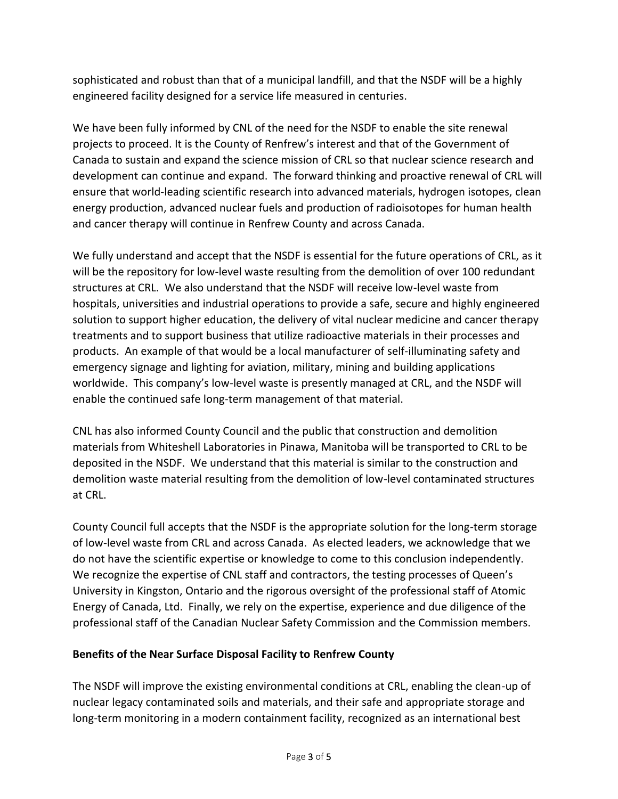sophisticated and robust than that of a municipal landfill, and that the NSDF will be a highly engineered facility designed for a service life measured in centuries.

We have been fully informed by CNL of the need for the NSDF to enable the site renewal projects to proceed. It is the County of Renfrew's interest and that of the Government of Canada to sustain and expand the science mission of CRL so that nuclear science research and development can continue and expand. The forward thinking and proactive renewal of CRL will ensure that world-leading scientific research into advanced materials, hydrogen isotopes, clean energy production, advanced nuclear fuels and production of radioisotopes for human health and cancer therapy will continue in Renfrew County and across Canada.

We fully understand and accept that the NSDF is essential for the future operations of CRL, as it will be the repository for low-level waste resulting from the demolition of over 100 redundant structures at CRL. We also understand that the NSDF will receive low-level waste from hospitals, universities and industrial operations to provide a safe, secure and highly engineered solution to support higher education, the delivery of vital nuclear medicine and cancer therapy treatments and to support business that utilize radioactive materials in their processes and products. An example of that would be a local manufacturer of self-illuminating safety and emergency signage and lighting for aviation, military, mining and building applications worldwide. This company's low-level waste is presently managed at CRL, and the NSDF will enable the continued safe long-term management of that material.

CNL has also informed County Council and the public that construction and demolition materials from Whiteshell Laboratories in Pinawa, Manitoba will be transported to CRL to be deposited in the NSDF. We understand that this material is similar to the construction and demolition waste material resulting from the demolition of low-level contaminated structures at CRL.

County Council full accepts that the NSDF is the appropriate solution for the long-term storage of low-level waste from CRL and across Canada. As elected leaders, we acknowledge that we do not have the scientific expertise or knowledge to come to this conclusion independently. We recognize the expertise of CNL staff and contractors, the testing processes of Queen's University in Kingston, Ontario and the rigorous oversight of the professional staff of Atomic Energy of Canada, Ltd. Finally, we rely on the expertise, experience and due diligence of the professional staff of the Canadian Nuclear Safety Commission and the Commission members.

## **Benefits of the Near Surface Disposal Facility to Renfrew County**

The NSDF will improve the existing environmental conditions at CRL, enabling the clean-up of nuclear legacy contaminated soils and materials, and their safe and appropriate storage and long-term monitoring in a modern containment facility, recognized as an international best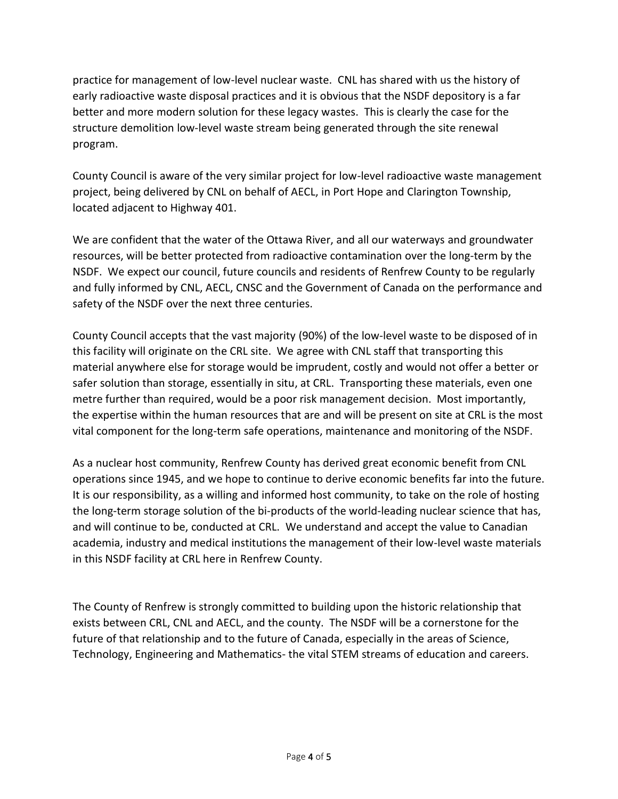practice for management of low-level nuclear waste. CNL has shared with us the history of early radioactive waste disposal practices and it is obvious that the NSDF depository is a far better and more modern solution for these legacy wastes. This is clearly the case for the structure demolition low-level waste stream being generated through the site renewal program.

County Council is aware of the very similar project for low-level radioactive waste management project, being delivered by CNL on behalf of AECL, in Port Hope and Clarington Township, located adjacent to Highway 401.

We are confident that the water of the Ottawa River, and all our waterways and groundwater resources, will be better protected from radioactive contamination over the long-term by the NSDF. We expect our council, future councils and residents of Renfrew County to be regularly and fully informed by CNL, AECL, CNSC and the Government of Canada on the performance and safety of the NSDF over the next three centuries.

County Council accepts that the vast majority (90%) of the low-level waste to be disposed of in this facility will originate on the CRL site. We agree with CNL staff that transporting this material anywhere else for storage would be imprudent, costly and would not offer a better or safer solution than storage, essentially in situ, at CRL. Transporting these materials, even one metre further than required, would be a poor risk management decision. Most importantly, the expertise within the human resources that are and will be present on site at CRL is the most vital component for the long-term safe operations, maintenance and monitoring of the NSDF.

As a nuclear host community, Renfrew County has derived great economic benefit from CNL operations since 1945, and we hope to continue to derive economic benefits far into the future. It is our responsibility, as a willing and informed host community, to take on the role of hosting the long-term storage solution of the bi-products of the world-leading nuclear science that has, and will continue to be, conducted at CRL. We understand and accept the value to Canadian academia, industry and medical institutions the management of their low-level waste materials in this NSDF facility at CRL here in Renfrew County.

The County of Renfrew is strongly committed to building upon the historic relationship that exists between CRL, CNL and AECL, and the county. The NSDF will be a cornerstone for the future of that relationship and to the future of Canada, especially in the areas of Science, Technology, Engineering and Mathematics- the vital STEM streams of education and careers.